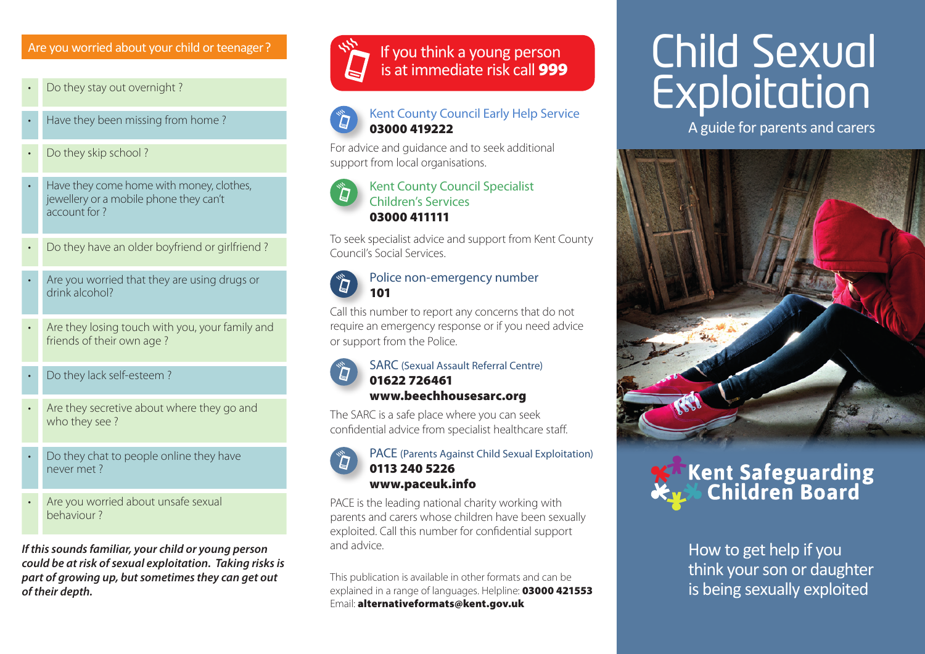### Are you worried about your child or teenager ?

• Do they stay out overnight ?



- Do they skip school ?
- Have they come home with money, clothes, jewellery or a mobile phone they can't account for ?
- Do they have an older boyfriend or girlfriend ?
- Are you worried that they are using drugs or drink alcohol?
- Are they losing touch with you, your family and friends of their own age ?
- Do they lack self-esteem ?
- Are they secretive about where they go and who they see ?
- Do they chat to people online they have never met ?
- Are you worried about unsafe sexual behaviour ?

*If this sounds familiar, your child or young person could be at risk of sexual exploitation. Taking risks is part of growing up, but sometimes they can get out of their depth.*



### If you think a young person is at immediate risk call 999

### Kent County Council Early Help Service 03000 419222

For advice and guidance and to seek additional support from local organisations.

### Kent County Council Specialist Children's Services 03000 411111

To seek specialist advice and support from Kent County Council's Social Services.

### Police non-emergency number 101

Call this number to report any concerns that do not require an emergency response or if you need advice or support from the Police.

### SARC (Sexual Assault Referral Centre) 01622 726461 www.beechhousesarc.org

The SARC is a safe place where you can seek confidential advice from specialist healthcare staff.

### PACE (Parents Against Child Sexual Exploitation) 0113 240 5226 www.paceuk.info

PACE is the leading national charity working with parents and carers whose children have been sexually exploited. Call this number for confidential support and advice.

This publication is available in other formats and can be explained in a range of languages. Helpline: 03000 421553 Email: alternativeformats@kent.gov.uk

## Child Sexual Exploitation

A guide for parents and carers



# **Kent Safeguarding<br>26 Children Board**

How to get help if you think your son or daughter is being sexually exploited